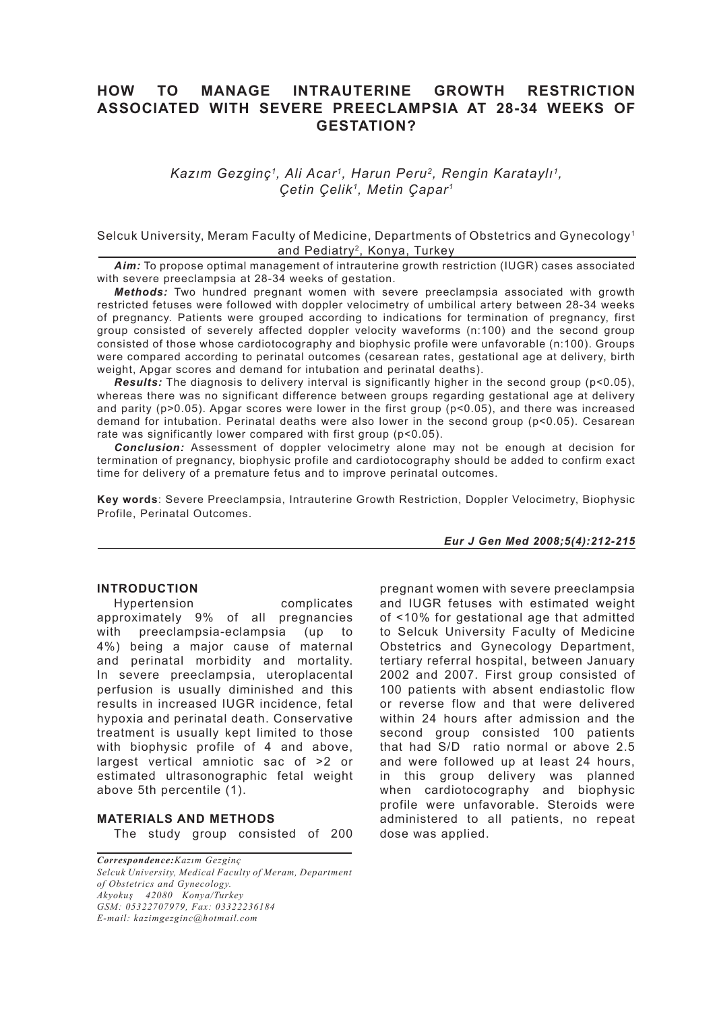# **HOW TO MANAGE INTRAUTERINE GROWTH RESTRICTION ASSOCIATED WITH SEVERE PREECLAMPSIA AT 28-34 WEEKS OF GESTATION?**

*Kazım Gezginç1, Ali Acar1, Harun Peru2, Rengin Karataylı1, Çetin Çelik1, Metin Çapar1*

## Selcuk University, Meram Faculty of Medicine, Departments of Obstetrics and Gynecology1 and Pediatry<sup>2</sup>, Konya, Turkey

*Aim:* To propose optimal management of intrauterine growth restriction (IUGR) cases associated with severe preeclampsia at 28-34 weeks of gestation.

*Methods:* Two hundred pregnant women with severe preeclampsia associated with growth restricted fetuses were followed with doppler velocimetry of umbilical artery between 28-34 weeks of pregnancy. Patients were grouped according to indications for termination of pregnancy, first group consisted of severely affected doppler velocity waveforms (n:100) and the second group consisted of those whose cardiotocography and biophysic profile were unfavorable (n:100). Groups were compared according to perinatal outcomes (cesarean rates, gestational age at delivery, birth weight, Apgar scores and demand for intubation and perinatal deaths).

*Results:* The diagnosis to delivery interval is significantly higher in the second group (p<0.05), whereas there was no significant difference between groups regarding gestational age at delivery and parity ( $p>0.05$ ). Apgar scores were lower in the first group ( $p<0.05$ ), and there was increased demand for intubation. Perinatal deaths were also lower in the second group (p<0.05). Cesarean rate was significantly lower compared with first group (p<0.05).

*Conclusion:* Assessment of doppler velocimetry alone may not be enough at decision for termination of pregnancy, biophysic profile and cardiotocography should be added to confirm exact time for delivery of a premature fetus and to improve perinatal outcomes.

**Key words**: Severe Preeclampsia, Intrauterine Growth Restriction, Doppler Velocimetry, Biophysic Profile, Perinatal Outcomes.

*Eur J Gen Med 2008;5(4):212-215*

## **INTRODUCTION**

Hypertension complicates approximately 9% of all pregnancies with preeclampsia-eclampsia (up to 4%) being a major cause of maternal and perinatal morbidity and mortality. In severe preeclampsia, uteroplacental perfusion is usually diminished and this results in increased IUGR incidence, fetal hypoxia and perinatal death. Conservative treatment is usually kept limited to those with biophysic profile of 4 and above. largest vertical amniotic sac of >2 or estimated ultrasonographic fetal weight above 5th percentile (1).

## **MATERIALS AND METHODS** The study group consisted of 200

*Correspondence:Kazım Gezginç Selcuk University, Medical Faculty of Meram, Department* 

*of Obstetrics and Gynecology. Akyokuş 42080 Konya/Turkey GSM: 05322707979, Fax: 03322236184* 

*E-mail: kazimgezginc@hotmail.com*

pregnant women with severe preeclampsia and IUGR fetuses with estimated weight of <10% for gestational age that admitted to Selcuk University Faculty of Medicine Obstetrics and Gynecology Department, tertiary referral hospital, between January 2002 and 2007. First group consisted of 100 patients with absent endiastolic flow or reverse flow and that were delivered within 24 hours after admission and the second group consisted 100 patients that had S/D ratio normal or above 2.5 and were followed up at least 24 hours, in this group delivery was planned when cardiotocography and biophysic profile were unfavorable. Steroids were administered to all patients, no repeat dose was applied.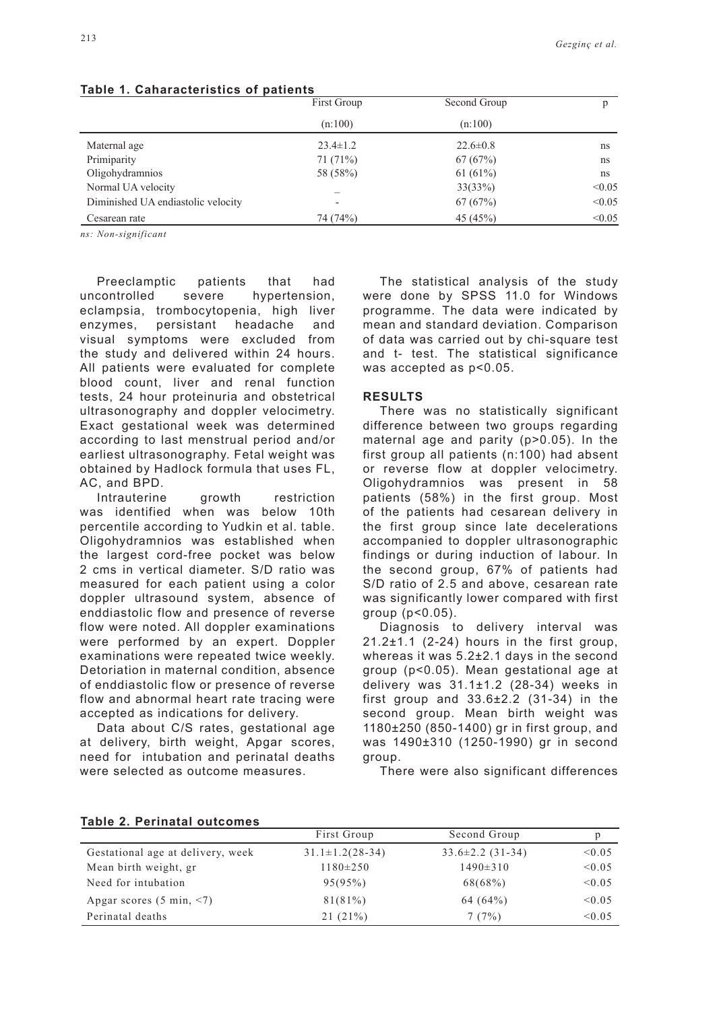|                                    | First Group<br>(n:100) | Second Group<br>(n:100) |        |
|------------------------------------|------------------------|-------------------------|--------|
|                                    |                        |                         |        |
| Maternal age                       | $23.4 \pm 1.2$         | $22.6 \pm 0.8$          | ns     |
| Primiparity                        | 71(71%)                | 67(67%)                 | ns     |
| Oligohydramnios                    | 58 (58%)               | 61 $(61%)$              | ns     |
| Normal UA velocity                 |                        | 33(33%)                 | < 0.05 |
| Diminished UA endiastolic velocity |                        | 67(67%)                 | < 0.05 |
| Cesarean rate                      | 74 (74%)               | 45 (45%)                | < 0.05 |

#### **Table 1. Caharacteristics of patients**

*ns: Non-significant*

Preeclamptic patients that had uncontrolled severe hypertension, eclampsia, trombocytopenia, high liver enzymes, persistant headache and visual symptoms were excluded from the study and delivered within 24 hours. All patients were evaluated for complete blood count, liver and renal function tests, 24 hour proteinuria and obstetrical ultrasonography and doppler velocimetry. Exact gestational week was determined according to last menstrual period and/or earliest ultrasonography. Fetal weight was obtained by Hadlock formula that uses FL, AC, and BPD.

Intrauterine growth restriction was identified when was below 10th percentile according to Yudkin et al. table. Oligohydramnios was established when the largest cord-free pocket was below 2 cms in vertical diameter. S/D ratio was measured for each patient using a color doppler ultrasound system, absence of enddiastolic flow and presence of reverse flow were noted. All doppler examinations were performed by an expert. Doppler examinations were repeated twice weekly. Detoriation in maternal condition, absence of enddiastolic flow or presence of reverse flow and abnormal heart rate tracing were accepted as indications for delivery.

Data about C/S rates, gestational age at delivery, birth weight, Apgar scores, need for intubation and perinatal deaths were selected as outcome measures.

The statistical analysis of the study were done by SPSS 11.0 for Windows programme. The data were indicated by mean and standard deviation. Comparison of data was carried out by chi-square test and t- test. The statistical significance was accepted as p<0.05.

#### **RESULTS**

There was no statistically significant difference between two groups regarding maternal age and parity (p>0.05). In the first group all patients (n:100) had absent or reverse flow at doppler velocimetry. Oligohydramnios was present in 58 patients (58%) in the first group. Most of the patients had cesarean delivery in the first group since late decelerations accompanied to doppler ultrasonographic findings or during induction of labour. In the second group, 67% of patients had S/D ratio of 2.5 and above, cesarean rate was significantly lower compared with first group (p<0.05).

Diagnosis to delivery interval was  $21.2 \pm 1.1$  (2-24) hours in the first group, whereas it was 5.2±2.1 days in the second group (p<0.05). Mean gestational age at delivery was  $31.1\pm1.2$  (28-34) weeks in first group and 33.6±2.2 (31-34) in the second group. Mean birth weight was 1180±250 (850-1400) gr in first group, and was 1490±310 (1250-1990) gr in second group.

There were also significant differences

| $18006$ $\mu$ , $181118181$ vulturings |                       |                        |        |
|----------------------------------------|-----------------------|------------------------|--------|
|                                        | First Group           | Second Group           |        |
| Gestational age at delivery, week      | $31.1 \pm 1.2(28-34)$ | $33.6 \pm 2.2$ (31-34) | < 0.05 |
| Mean birth weight, gr                  | $1180 \pm 250$        | $1490 \pm 310$         | < 0.05 |
| Need for intubation                    | 95(95%)               | 68(68%)                | < 0.05 |
| Apgar scores $(5 \text{ min}, \le 7)$  | $81(81\%)$            | $64(64\%)$             | < 0.05 |
| Perinatal deaths                       | 21(21%)               | 7(7%)                  | < 0.05 |

## **Table 2. Perinatal outcomes**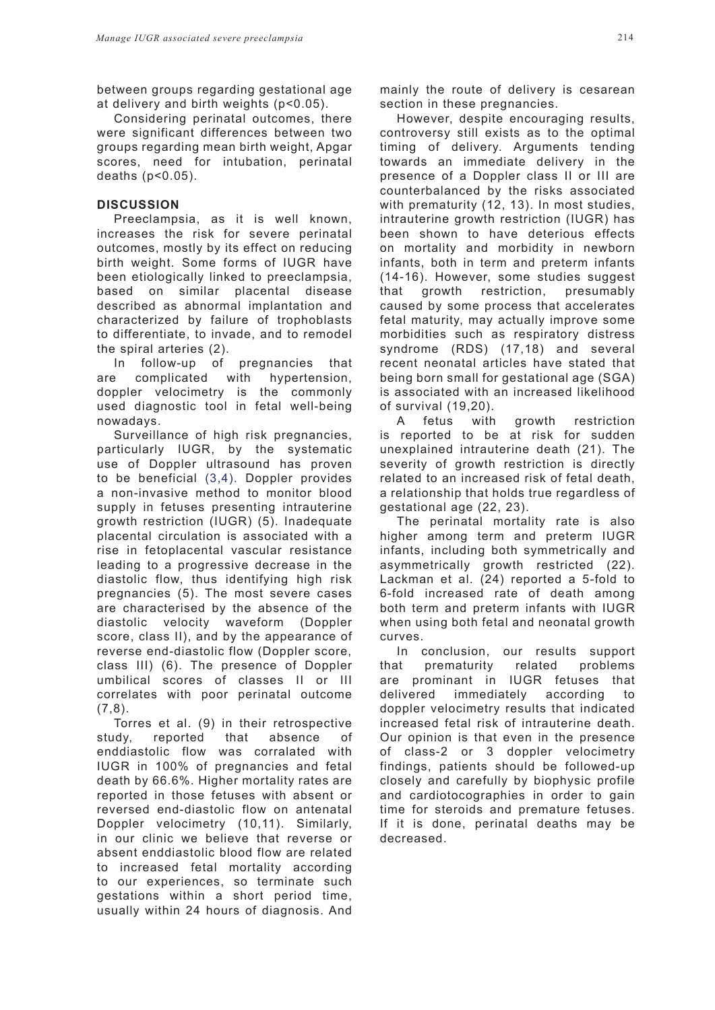between groups regarding gestational age at delivery and birth weights (p<0.05).

Considering perinatal outcomes, there were significant differences between two groups regarding mean birth weight, Apgar scores, need for intubation, perinatal deaths (p<0.05).

## **DISCUSSION**

Preeclampsia, as it is well known, increases the risk for severe perinatal outcomes, mostly by its effect on reducing birth weight. Some forms of IUGR have been etiologically linked to preeclampsia, based on similar placental disease described as abnormal implantation and characterized by failure of trophoblasts to differentiate, to invade, and to remodel the spiral arteries (2).

In follow-up of pregnancies that are complicated with hypertension, doppler velocimetry is the commonly used diagnostic tool in fetal well-being nowadays.

Surveillance of high risk pregnancies, particularly IUGR, by the systematic use of Doppler ultrasound has proven to be beneficial (3,4). Doppler provides a non-invasive method to monitor blood supply in fetuses presenting intrauterine growth restriction (IUGR) (5). Inadequate placental circulation is associated with a rise in fetoplacental vascular resistance leading to a progressive decrease in the diastolic flow, thus identifying high risk pregnancies (5). The most severe cases are characterised by the absence of the diastolic velocity waveform (Doppler score, class II), and by the appearance of reverse end-diastolic flow (Doppler score, class III) (6). The presence of Doppler umbilical scores of classes II or III correlates with poor perinatal outcome  $(7,8)$ .

Torres et al. (9) in their retrospective study, reported that absence of enddiastolic flow was corralated with IUGR in 100% of pregnancies and fetal death by 66.6%. Higher mortality rates are reported in those fetuses with absent or reversed end-diastolic flow on antenatal Doppler velocimetry (10,11). Similarly, in our clinic we believe that reverse or absent enddiastolic blood flow are related to increased fetal mortality according to our experiences, so terminate such gestations within a short period time, usually within 24 hours of diagnosis. And mainly the route of delivery is cesarean section in these pregnancies.

However, despite encouraging results, controversy still exists as to the optimal timing of delivery. Arguments tending towards an immediate delivery in the presence of a Doppler class II or III are counterbalanced by the risks associated with prematurity (12, 13). In most studies, intrauterine growth restriction (IUGR) has been shown to have deterious effects on mortality and morbidity in newborn infants, both in term and preterm infants (14-16). However, some studies suggest that growth restriction, presumably caused by some process that accelerates fetal maturity, may actually improve some morbidities such as respiratory distress syndrome (RDS) (17,18) and several recent neonatal articles have stated that being born small for gestational age (SGA) is associated with an increased likelihood of survival (19,20).

A fetus with growth restriction is reported to be at risk for sudden unexplained intrauterine death (21). The severity of growth restriction is directly related to an increased risk of fetal death, a relationship that holds true regardless of gestational age (22, 23).

The perinatal mortality rate is also higher among term and preterm IUGR infants, including both symmetrically and asymmetrically growth restricted (22). Lackman et al. (24) reported a 5-fold to 6-fold increased rate of death among both term and preterm infants with IUGR when using both fetal and neonatal growth curves.

In conclusion, our results support that prematurity related problems are prominant in IUGR fetuses that delivered immediately according to doppler velocimetry results that indicated increased fetal risk of intrauterine death. Our opinion is that even in the presence of class-2 or 3 doppler velocimetry findings, patients should be followed-up closely and carefully by biophysic profile and cardiotocographies in order to gain time for steroids and premature fetuses. If it is done, perinatal deaths may be decreased.